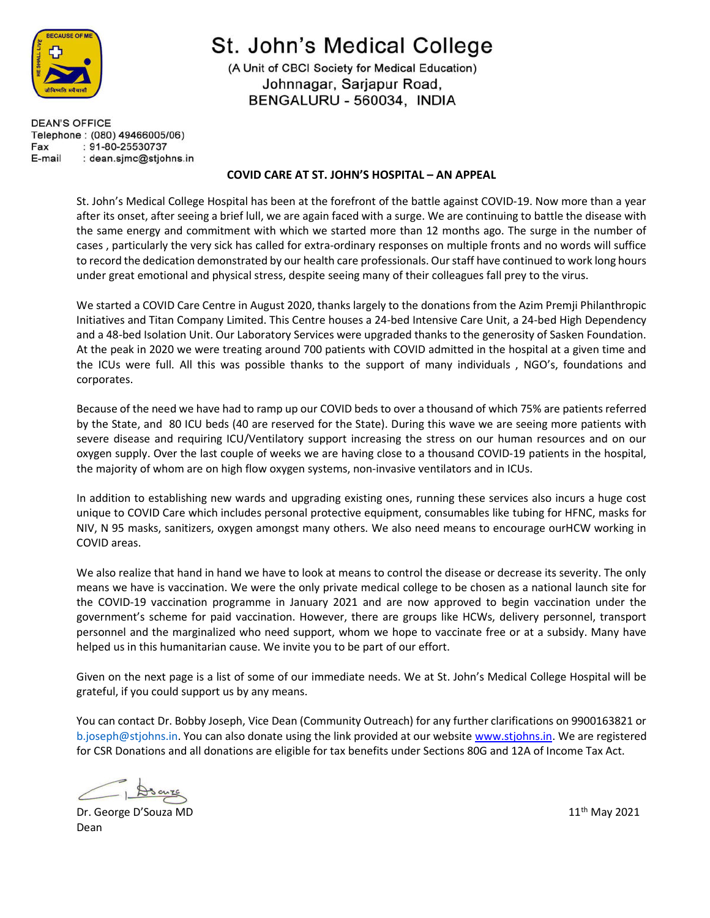

# St. John's Medical College

(A Unit of CBCI Society for Medical Education) Johnnagar, Sarjapur Road, BENGALURU - 560034, INDIA

**DEAN'S OFFICE** Telephone: (080) 49466005/06) Fax : 91-80-25530737 E-mail : dean.sjmc@stjohns.in

#### COVID CARE AT ST. JOHN'S HOSPITAL – AN APPEAL

St. John's Medical College Hospital has been at the forefront of the battle against COVID-19. Now more than a year after its onset, after seeing a brief lull, we are again faced with a surge. We are continuing to battle the disease with the same energy and commitment with which we started more than 12 months ago. The surge in the number of cases , particularly the very sick has called for extra-ordinary responses on multiple fronts and no words will suffice to record the dedication demonstrated by our health care professionals. Our staff have continued to work long hours under great emotional and physical stress, despite seeing many of their colleagues fall prey to the virus.

We started a COVID Care Centre in August 2020, thanks largely to the donations from the Azim Premji Philanthropic Initiatives and Titan Company Limited. This Centre houses a 24-bed Intensive Care Unit, a 24-bed High Dependency and a 48-bed Isolation Unit. Our Laboratory Services were upgraded thanks to the generosity of Sasken Foundation. At the peak in 2020 we were treating around 700 patients with COVID admitted in the hospital at a given time and the ICUs were full. All this was possible thanks to the support of many individuals , NGO's, foundations and corporates.

Because of the need we have had to ramp up our COVID beds to over a thousand of which 75% are patients referred by the State, and 80 ICU beds (40 are reserved for the State). During this wave we are seeing more patients with severe disease and requiring ICU/Ventilatory support increasing the stress on our human resources and on our oxygen supply. Over the last couple of weeks we are having close to a thousand COVID-19 patients in the hospital, the majority of whom are on high flow oxygen systems, non-invasive ventilators and in ICUs.

In addition to establishing new wards and upgrading existing ones, running these services also incurs a huge cost unique to COVID Care which includes personal protective equipment, consumables like tubing for HFNC, masks for NIV, N 95 masks, sanitizers, oxygen amongst many others. We also need means to encourage ourHCW working in COVID areas.

We also realize that hand in hand we have to look at means to control the disease or decrease its severity. The only means we have is vaccination. We were the only private medical college to be chosen as a national launch site for the COVID-19 vaccination programme in January 2021 and are now approved to begin vaccination under the government's scheme for paid vaccination. However, there are groups like HCWs, delivery personnel, transport personnel and the marginalized who need support, whom we hope to vaccinate free or at a subsidy. Many have helped us in this humanitarian cause. We invite you to be part of our effort.

Given on the next page is a list of some of our immediate needs. We at St. John's Medical College Hospital will be grateful, if you could support us by any means.

You can contact Dr. Bobby Joseph, Vice Dean (Community Outreach) for any further clarifications on 9900163821 or b.joseph@stjohns.in. You can also donate using the link provided at our website www.stjohns.in. We are registered for CSR Donations and all donations are eligible for tax benefits under Sections 80G and 12A of Income Tax Act.

Dr. George D'Souza MD 11th May 2021 Dean